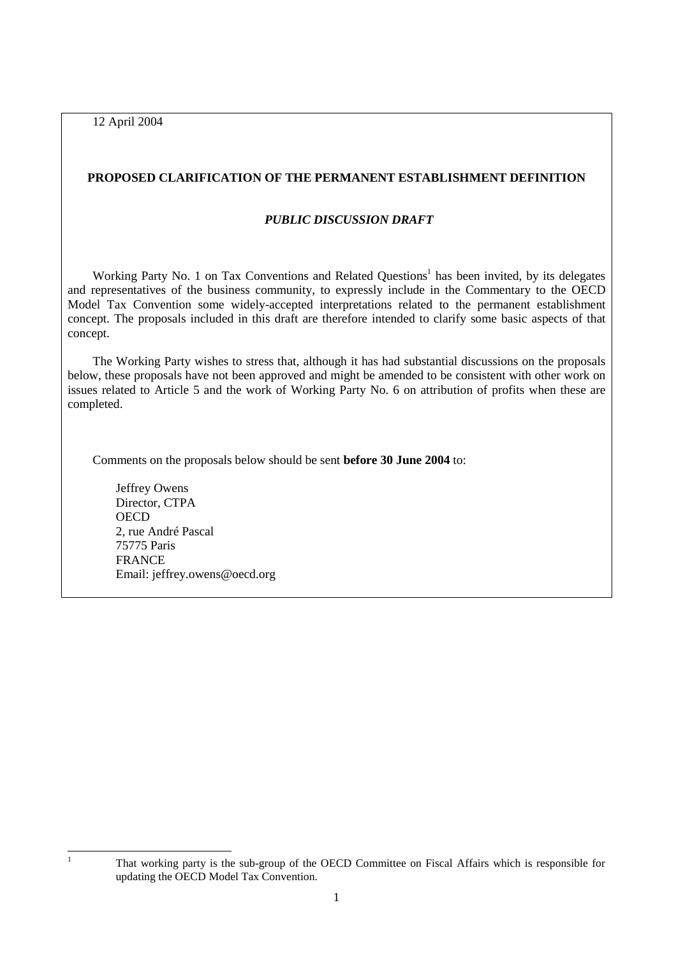12 April 2004

# **PROPOSED CLARIFICATION OF THE PERMANENT ESTABLISHMENT DEFINITION**

#### *PUBLIC DISCUSSION DRAFT*

Working Party No. 1 on Tax Conventions and Related Questions<sup>1</sup> has been invited, by its delegates and representatives of the business community, to expressly include in the Commentary to the OECD Model Tax Convention some widely-accepted interpretations related to the permanent establishment concept. The proposals included in this draft are therefore intended to clarify some basic aspects of that concept.

The Working Party wishes to stress that, although it has had substantial discussions on the proposals below, these proposals have not been approved and might be amended to be consistent with other work on issues related to Article 5 and the work of Working Party No. 6 on attribution of profits when these are completed.

Comments on the proposals below should be sent **before 30 June 2004** to:

 Jeffrey Owens Director, CTPA **OECD**  2, rue André Pascal 75775 Paris FRANCE Email: jeffrey.owens@oecd.org

|<br>|<br>|

That working party is the sub-group of the OECD Committee on Fiscal Affairs which is responsible for updating the OECD Model Tax Convention.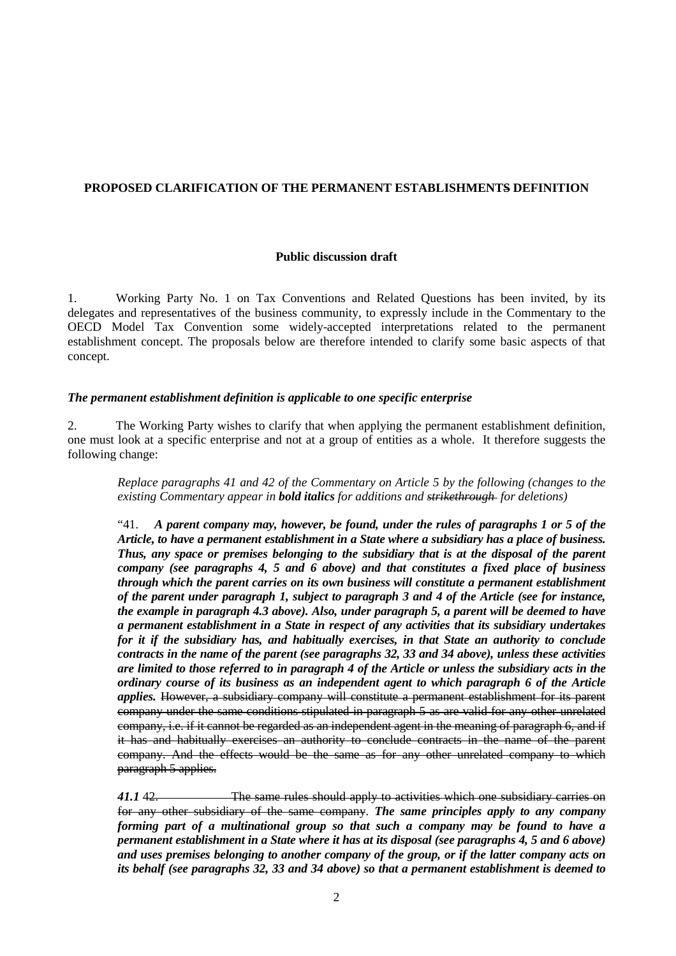## **PROPOSED CLARIFICATION OF THE PERMANENT ESTABLISHMENTS DEFINITION**

#### **Public discussion draft**

1. Working Party No. 1 on Tax Conventions and Related Questions has been invited, by its delegates and representatives of the business community, to expressly include in the Commentary to the OECD Model Tax Convention some widely-accepted interpretations related to the permanent establishment concept. The proposals below are therefore intended to clarify some basic aspects of that concept.

#### *The permanent establishment definition is applicable to one specific enterprise*

2. The Working Party wishes to clarify that when applying the permanent establishment definition, one must look at a specific enterprise and not at a group of entities as a whole. It therefore suggests the following change:

*Replace paragraphs 41 and 42 of the Commentary on Article 5 by the following (changes to the existing Commentary appear in bold italics for additions and strikethrough for deletions)* 

"41. *A parent company may, however, be found, under the rules of paragraphs 1 or 5 of the Article, to have a permanent establishment in a State where a subsidiary has a place of business. Thus, any space or premises belonging to the subsidiary that is at the disposal of the parent company (see paragraphs 4, 5 and 6 above) and that constitutes a fixed place of business through which the parent carries on its own business will constitute a permanent establishment of the parent under paragraph 1, subject to paragraph 3 and 4 of the Article (see for instance, the example in paragraph 4.3 above). Also, under paragraph 5, a parent will be deemed to have a permanent establishment in a State in respect of any activities that its subsidiary undertakes for it if the subsidiary has, and habitually exercises, in that State an authority to conclude contracts in the name of the parent (see paragraphs 32, 33 and 34 above), unless these activities are limited to those referred to in paragraph 4 of the Article or unless the subsidiary acts in the ordinary course of its business as an independent agent to which paragraph 6 of the Article applies.* However, a subsidiary company will constitute a permanent establishment for its parent company under the same conditions stipulated in paragraph 5 as are valid for any other unrelated company, i.e. if it cannot be regarded as an independent agent in the meaning of paragraph 6, and if it has and habitually exercises an authority to conclude contracts in the name of the parent company. And the effects would be the same as for any other unrelated company to which paragraph 5 applies.

*41.1* 42. The same rules should apply to activities which one subsidiary carries on for any other subsidiary of the same company. *The same principles apply to any company forming part of a multinational group so that such a company may be found to have a permanent establishment in a State where it has at its disposal (see paragraphs 4, 5 and 6 above) and uses premises belonging to another company of the group, or if the latter company acts on its behalf (see paragraphs 32, 33 and 34 above) so that a permanent establishment is deemed to*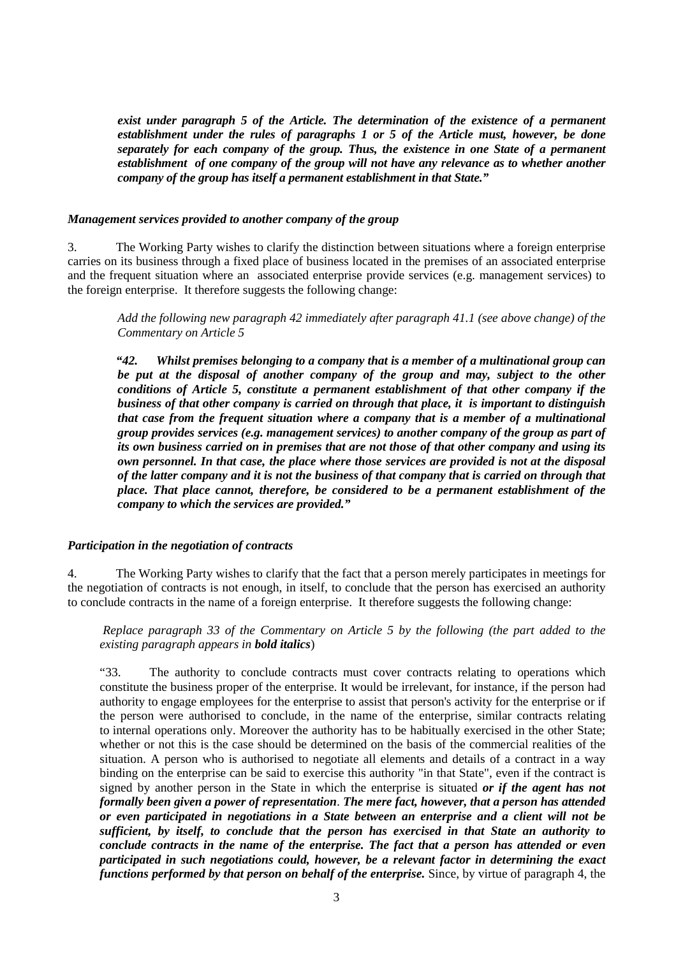*exist under paragraph 5 of the Article. The determination of the existence of a permanent establishment under the rules of paragraphs 1 or 5 of the Article must, however, be done separately for each company of the group. Thus, the existence in one State of a permanent establishment of one company of the group will not have any relevance as to whether another company of the group has itself a permanent establishment in that State."* 

#### *Management services provided to another company of the group*

3. The Working Party wishes to clarify the distinction between situations where a foreign enterprise carries on its business through a fixed place of business located in the premises of an associated enterprise and the frequent situation where an associated enterprise provide services (e.g. management services) to the foreign enterprise. It therefore suggests the following change:

*Add the following new paragraph 42 immediately after paragraph 41.1 (see above change) of the Commentary on Article 5* 

*"42. Whilst premises belonging to a company that is a member of a multinational group can be put at the disposal of another company of the group and may, subject to the other conditions of Article 5, constitute a permanent establishment of that other company if the business of that other company is carried on through that place, it is important to distinguish that case from the frequent situation where a company that is a member of a multinational group provides services (e.g. management services) to another company of the group as part of its own business carried on in premises that are not those of that other company and using its own personnel. In that case, the place where those services are provided is not at the disposal of the latter company and it is not the business of that company that is carried on through that place. That place cannot, therefore, be considered to be a permanent establishment of the company to which the services are provided."* 

### *Participation in the negotiation of contracts*

4. The Working Party wishes to clarify that the fact that a person merely participates in meetings for the negotiation of contracts is not enough, in itself, to conclude that the person has exercised an authority to conclude contracts in the name of a foreign enterprise. It therefore suggests the following change:

 *Replace paragraph 33 of the Commentary on Article 5 by the following (the part added to the existing paragraph appears in bold italics*)

"33. The authority to conclude contracts must cover contracts relating to operations which constitute the business proper of the enterprise. It would be irrelevant, for instance, if the person had authority to engage employees for the enterprise to assist that person's activity for the enterprise or if the person were authorised to conclude, in the name of the enterprise, similar contracts relating to internal operations only. Moreover the authority has to be habitually exercised in the other State; whether or not this is the case should be determined on the basis of the commercial realities of the situation. A person who is authorised to negotiate all elements and details of a contract in a way binding on the enterprise can be said to exercise this authority "in that State", even if the contract is signed by another person in the State in which the enterprise is situated *or if the agent has not formally been given a power of representation*. *The mere fact, however, that a person has attended or even participated in negotiations in a State between an enterprise and a client will not be sufficient, by itself, to conclude that the person has exercised in that State an authority to conclude contracts in the name of the enterprise. The fact that a person has attended or even participated in such negotiations could, however, be a relevant factor in determining the exact functions performed by that person on behalf of the enterprise.* Since, by virtue of paragraph 4, the